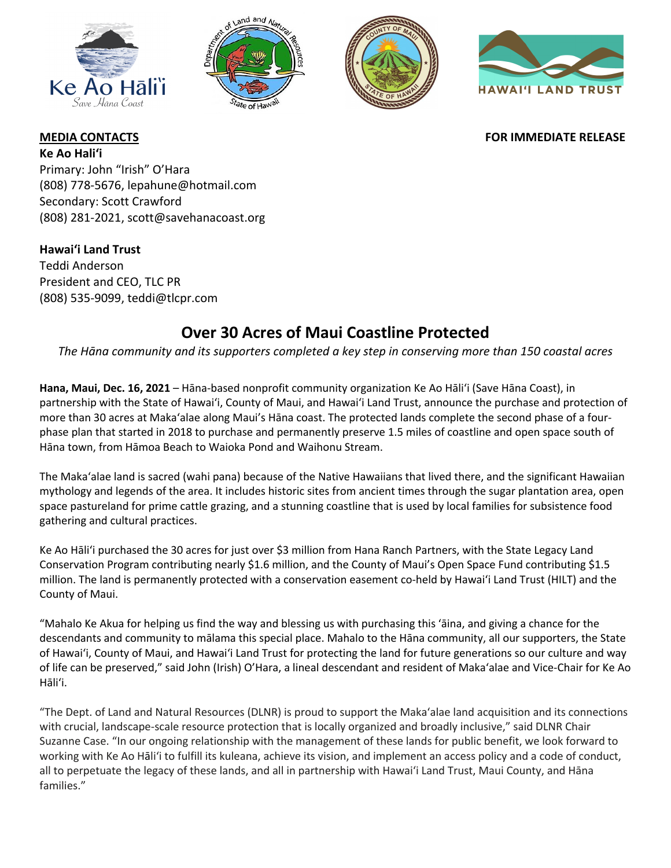







## **MEDIA CONTACTS FOR IMMEDIATE RELEASE**

**Ke Ao Haliʻi** Primary: John "Irish" O'Hara (808) 778-5676, lepahune@hotmail.com Secondary: Scott Crawford (808) 281-2021, scott@savehanacoast.org

**Hawaiʻi Land Trust** Teddi Anderson President and CEO, TLC PR (808) 535-9099, teddi@tlcpr.com

# **Over 30 Acres of Maui Coastline Protected**

*The Hāna community and its supporters completed a key step in conserving more than 150 coastal acres*

**Hana, Maui, Dec. 16, 2021** – Hāna-based nonprofit community organization Ke Ao Hāliʻi (Save Hāna Coast), in partnership with the State of Hawaiʻi, County of Maui, and Hawai'i Land Trust, announce the purchase and protection of more than 30 acres at Makaʻalae along Maui's Hāna coast. The protected lands complete the second phase of a fourphase plan that started in 2018 to purchase and permanently preserve 1.5 miles of coastline and open space south of Hāna town, from Hāmoa Beach to Waioka Pond and Waihonu Stream.

The Makaʻalae land is sacred (wahi pana) because of the Native Hawaiians that lived there, and the significant Hawaiian mythology and legends of the area. It includes historic sites from ancient times through the sugar plantation area, open space pastureland for prime cattle grazing, and a stunning coastline that is used by local families for subsistence food gathering and cultural practices.

Ke Ao Hāliʻi purchased the 30 acres for just over \$3 million from Hana Ranch Partners, with the State Legacy Land Conservation Program contributing nearly \$1.6 million, and the County of Maui's Open Space Fund contributing \$1.5 million. The land is permanently protected with a conservation easement co-held by Hawaiʻi Land Trust (HILT) and the County of Maui.

"Mahalo Ke Akua for helping us find the way and blessing us with purchasing this 'āina, and giving a chance for the descendants and community to mālama this special place. Mahalo to the Hāna community, all our supporters, the State of Hawaiʻi, County of Maui, and Hawai'i Land Trust for protecting the land for future generations so our culture and way of life can be preserved," said John (Irish) O'Hara, a lineal descendant and resident of Makaʻalae and Vice-Chair for Ke Ao Hāliʻi.

"The Dept. of Land and Natural Resources (DLNR) is proud to support the Maka'alae land acquisition and its connections with crucial, landscape-scale resource protection that is locally organized and broadly inclusive," said DLNR Chair Suzanne Case. "In our ongoing relationship with the management of these lands for public benefit, we look forward to working with Ke Ao Hāliʻi to fulfill its kuleana, achieve its vision, and implement an access policy and a code of conduct, all to perpetuate the legacy of these lands, and all in partnership with Hawaiʻi Land Trust, Maui County, and Hāna families."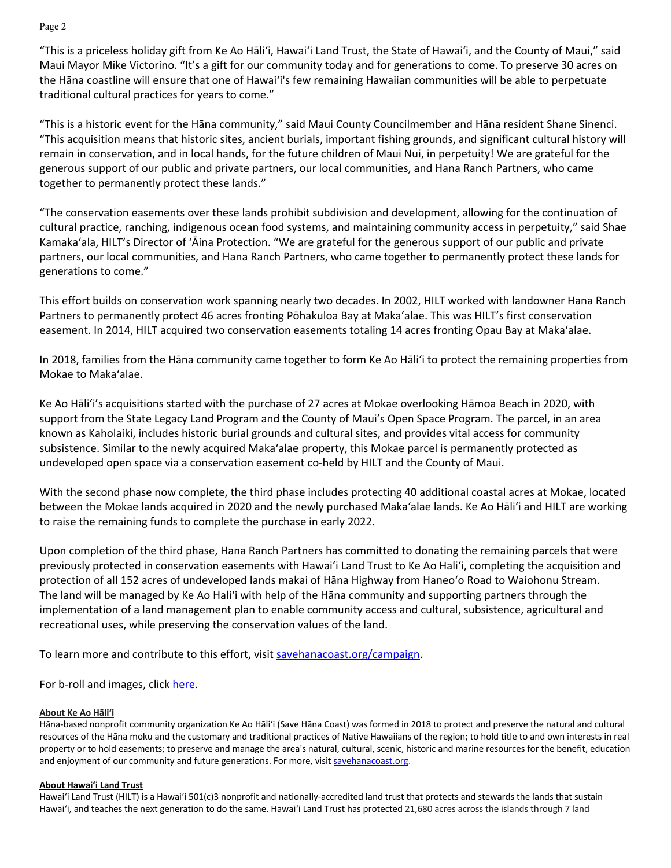Page 2

"This is a priceless holiday gift from Ke Ao Hāliʻi, Hawai'i Land Trust, the State of Hawai'i, and the County of Maui," said Maui Mayor Mike Victorino. "It's a gift for our community today and for generations to come. To preserve 30 acres on the Hāna coastline will ensure that one of Hawai'i's few remaining Hawaiian communities will be able to perpetuate traditional cultural practices for years to come."

"This is a historic event for the Hāna community," said Maui County Councilmember and Hāna resident Shane Sinenci. "This acquisition means that historic sites, ancient burials, important fishing grounds, and significant cultural history will remain in conservation, and in local hands, for the future children of Maui Nui, in perpetuity! We are grateful for the generous support of our public and private partners, our local communities, and Hana Ranch Partners, who came together to permanently protect these lands."

"The conservation easements over these lands prohibit subdivision and development, allowing for the continuation of cultural practice, ranching, indigenous ocean food systems, and maintaining community access in perpetuity," said Shae Kamakaʻala, HILT's Director of ʻĀina Protection. "We are grateful for the generous support of our public and private partners, our local communities, and Hana Ranch Partners, who came together to permanently protect these lands for generations to come."

This effort builds on conservation work spanning nearly two decades. In 2002, HILT worked with landowner Hana Ranch Partners to permanently protect 46 acres fronting Pōhakuloa Bay at Makaʻalae. This was HILT's first conservation easement. In 2014, HILT acquired two conservation easements totaling 14 acres fronting Opau Bay at Makaʻalae.

In 2018, families from the Hāna community came together to form Ke Ao Hāliʻi to protect the remaining properties from Mokae to Makaʻalae.

Ke Ao Hāliʻi's acquisitions started with the purchase of 27 acres at Mokae overlooking Hāmoa Beach in 2020, with support from the State Legacy Land Program and the County of Maui's Open Space Program. The parcel, in an area known as Kaholaiki, includes historic burial grounds and cultural sites, and provides vital access for community subsistence. Similar to the newly acquired Makaʻalae property, this Mokae parcel is permanently protected as undeveloped open space via a conservation easement co-held by HILT and the County of Maui.

With the second phase now complete, the third phase includes protecting 40 additional coastal acres at Mokae, located between the Mokae lands acquired in 2020 and the newly purchased Makaʻalae lands. Ke Ao Hāli'i and HILT are working to raise the remaining funds to complete the purchase in early 2022.

Upon completion of the third phase, Hana Ranch Partners has committed to donating the remaining parcels that were previously protected in conservation easements with Hawai'i Land Trust to Ke Ao Hali'i, completing the acquisition and protection of all 152 acres of undeveloped lands makai of Hāna Highway from Haneo'o Road to Waiohonu Stream. The land will be managed by Ke Ao Hali'i with help of the Hāna community and supporting partners through the implementation of a land management plan to enable community access and cultural, subsistence, agricultural and recreational uses, while preserving the conservation values of the land.

To learn more and contribute to this effort, visit savehanacoast.org/campaign.

For b-roll and images, click here.

### **About Ke Ao Hāliʻi**

Hāna-based nonprofit community organization Ke Ao Hāliʻi (Save Hāna Coast) was formed in 2018 to protect and preserve the natural and cultural resources of the Hāna moku and the customary and traditional practices of Native Hawaiians of the region; to hold title to and own interests in real property or to hold easements; to preserve and manage the area's natural, cultural, scenic, historic and marine resources for the benefit, education and enjoyment of our community and future generations. For more, visit savehanacoast.org.

#### **About Hawaiʻi Land Trust**

Hawaiʻi Land Trust (HILT) is a Hawaiʻi 501(c)3 nonprofit and nationally-accredited land trust that protects and stewards the lands that sustain Hawaiʻi, and teaches the next generation to do the same. Hawaiʻi Land Trust has protected 21,680 acres across the islands through 7 land